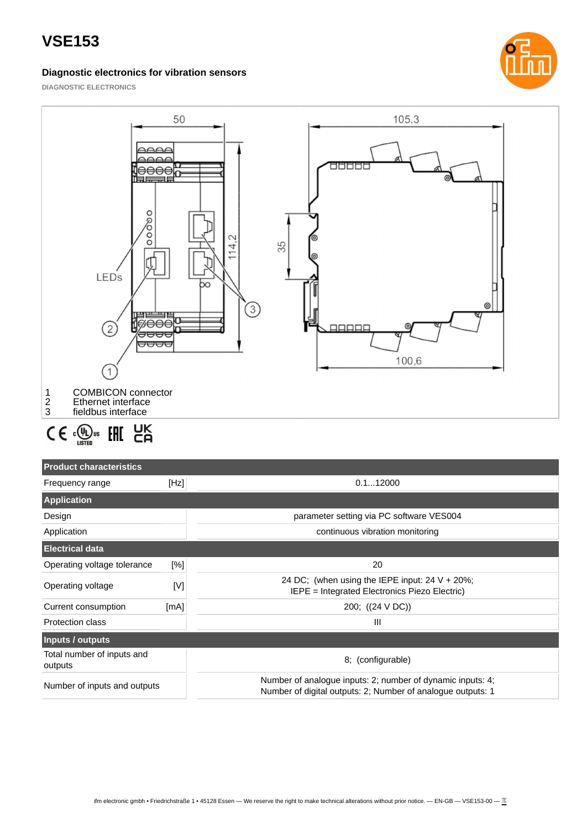## **Diagnostic electronics for vibration sensors**



**DIAGNOSTIC ELECTRONICS**



# $C \in \mathbb{Q}_{\text{user}}$  FHI  $\text{EK}_{\text{G}}$

| <b>Product characteristics</b>        |      |                                                                                                                           |  |
|---------------------------------------|------|---------------------------------------------------------------------------------------------------------------------------|--|
| Frequency range                       | [Hz] | 0.112000                                                                                                                  |  |
| <b>Application</b>                    |      |                                                                                                                           |  |
| Design                                |      | parameter setting via PC software VES004                                                                                  |  |
| Application                           |      | continuous vibration monitoring                                                                                           |  |
| <b>Electrical data</b>                |      |                                                                                                                           |  |
| Operating voltage tolerance           | [%]  | 20                                                                                                                        |  |
| Operating voltage                     | [V]  | 24 DC; (when using the IEPE input: $24 V + 20\%$ ;<br>IEPE = Integrated Electronics Piezo Electric)                       |  |
| Current consumption                   | [mA] | 200; ((24 V DC))                                                                                                          |  |
| <b>Protection class</b>               |      | Ш                                                                                                                         |  |
| Inputs / outputs                      |      |                                                                                                                           |  |
| Total number of inputs and<br>outputs |      | 8: (configurable)                                                                                                         |  |
| Number of inputs and outputs          |      | Number of analogue inputs: 2; number of dynamic inputs: 4;<br>Number of digital outputs: 2; Number of analogue outputs: 1 |  |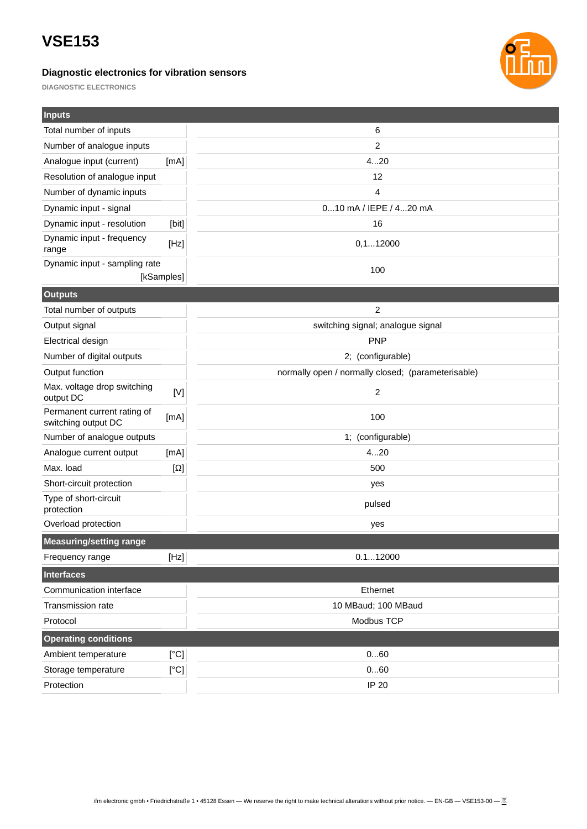## **Diagnostic electronics for vibration sensors**



**DIAGNOSTIC ELECTRONICS**

| <b>Inputs</b>                                      |                                   |                                                    |  |
|----------------------------------------------------|-----------------------------------|----------------------------------------------------|--|
| Total number of inputs                             |                                   | 6                                                  |  |
| Number of analogue inputs                          |                                   | 2                                                  |  |
| Analogue input (current)                           | [mA]                              | 420                                                |  |
| Resolution of analogue input                       |                                   | 12                                                 |  |
| Number of dynamic inputs                           |                                   | $\overline{4}$                                     |  |
| Dynamic input - signal                             |                                   | 010 mA / IEPE / 420 mA                             |  |
| Dynamic input - resolution                         | [bit]                             | 16                                                 |  |
| Dynamic input - frequency<br>range                 | [Hz]                              | 0, 112000                                          |  |
| Dynamic input - sampling rate                      |                                   | 100                                                |  |
| [kSamples]                                         |                                   |                                                    |  |
| <b>Outputs</b>                                     |                                   |                                                    |  |
| Total number of outputs                            |                                   | 2                                                  |  |
| Output signal                                      | switching signal; analogue signal |                                                    |  |
| <b>Electrical design</b>                           |                                   | <b>PNP</b>                                         |  |
| Number of digital outputs                          | 2; (configurable)                 |                                                    |  |
| Output function                                    |                                   | normally open / normally closed; (parameterisable) |  |
| Max. voltage drop switching<br>output DC           | [V]                               | $\overline{2}$                                     |  |
| Permanent current rating of<br>switching output DC | [mA]                              | 100                                                |  |
| Number of analogue outputs                         |                                   | 1; (configurable)                                  |  |
| Analogue current output                            | [mA]                              | 420                                                |  |
| Max. load                                          | $[\Omega]$                        | 500                                                |  |
| Short-circuit protection                           |                                   | yes                                                |  |
| Type of short-circuit<br>protection                |                                   | pulsed                                             |  |
| Overload protection                                |                                   | yes                                                |  |
| <b>Measuring/setting range</b>                     |                                   |                                                    |  |
| Frequency range                                    | [Hz]                              | 0.112000                                           |  |
| <b>Interfaces</b>                                  |                                   |                                                    |  |
| Communication interface                            |                                   | Ethernet                                           |  |
| Transmission rate                                  |                                   | 10 MBaud; 100 MBaud                                |  |
| Protocol                                           |                                   | Modbus TCP                                         |  |
| <b>Operating conditions</b>                        |                                   |                                                    |  |
| Ambient temperature                                | [°C]                              | 060                                                |  |
| Storage temperature                                | $\rm [^\circ C]$                  | 060                                                |  |
| Protection                                         |                                   | IP 20                                              |  |
|                                                    |                                   |                                                    |  |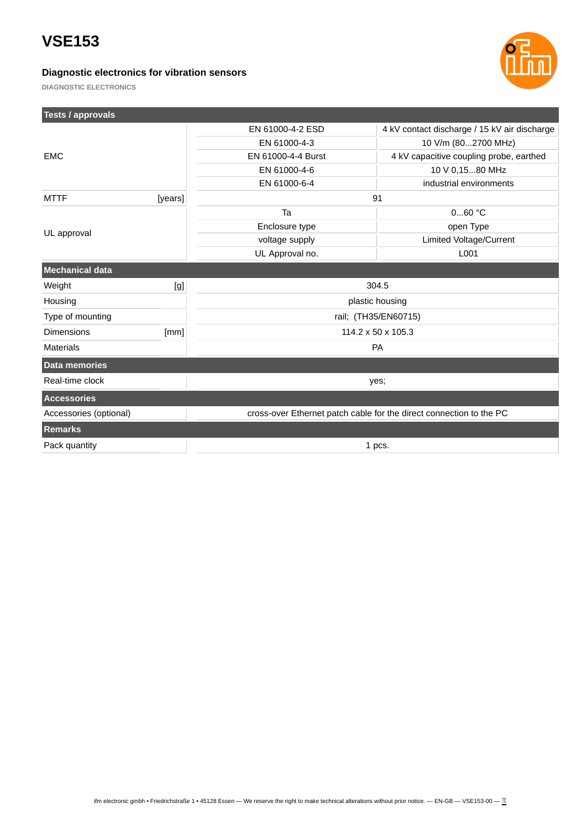**Tests / approvals**

## **Diagnostic electronics for vibration sensors**



**DIAGNOSTIC ELECTRONICS**

| <b>Tests / approvals</b> |         |                                                                     |                                              |  |
|--------------------------|---------|---------------------------------------------------------------------|----------------------------------------------|--|
|                          |         | EN 61000-4-2 ESD                                                    | 4 kV contact discharge / 15 kV air discharge |  |
|                          |         | EN 61000-4-3                                                        | 10 V/m (802700 MHz)                          |  |
| <b>EMC</b>               |         | EN 61000-4-4 Burst                                                  | 4 kV capacitive coupling probe, earthed      |  |
|                          |         | EN 61000-4-6                                                        | 10 V 0,1580 MHz                              |  |
|                          |         | EN 61000-6-4                                                        | industrial environments                      |  |
| <b>MTTF</b>              | [years] | 91                                                                  |                                              |  |
| UL approval              |         | Ta                                                                  | $060$ °C                                     |  |
|                          |         | Enclosure type                                                      | open Type                                    |  |
|                          |         | voltage supply                                                      | Limited Voltage/Current                      |  |
|                          |         | UL Approval no.                                                     | L001                                         |  |
| <b>Mechanical data</b>   |         |                                                                     |                                              |  |
| Weight                   | [g]     | 304.5                                                               |                                              |  |
| Housing                  |         | plastic housing                                                     |                                              |  |
| Type of mounting         |         | rail; (TH35/EN60715)                                                |                                              |  |
| <b>Dimensions</b>        | [mm]    | 114.2 x 50 x 105.3                                                  |                                              |  |
| <b>Materials</b>         |         | PA                                                                  |                                              |  |
| <b>Data memories</b>     |         |                                                                     |                                              |  |
| Real-time clock          |         | yes;                                                                |                                              |  |
| <b>Accessories</b>       |         |                                                                     |                                              |  |
| Accessories (optional)   |         | cross-over Ethernet patch cable for the direct connection to the PC |                                              |  |
| <b>Remarks</b>           |         |                                                                     |                                              |  |
| Pack quantity            |         | 1 pcs.                                                              |                                              |  |